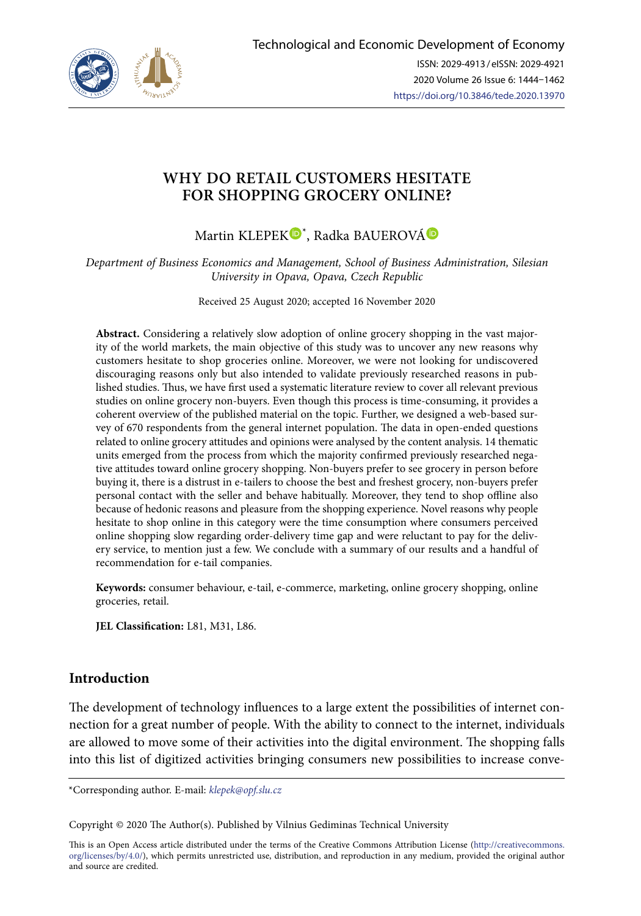

# **WHY DO RETAIL CUSTOMERS HESITATE FOR SHOPPING GROCERY ONLINE?**

Martin KLEPEK<sup>®[\\*](https://orcid.org/0000-0003-4058-156X)</sup>, Radka BAUEROV[Á](https://orcid.org/0000-0003-3110-5756)

*Department of Business Economics and Management, School of Business Administration, Silesian University in Opava, Opava, Czech Republic* 

Received 25 August 2020; accepted 16 November 2020

**Abstract.** Considering a relatively slow adoption of online grocery shopping in the vast majority of the world markets, the main objective of this study was to uncover any new reasons why customers hesitate to shop groceries online. Moreover, we were not looking for undiscovered discouraging reasons only but also intended to validate previously researched reasons in published studies. Thus, we have first used a systematic literature review to cover all relevant previous studies on online grocery non-buyers. Even though this process is time-consuming, it provides a coherent overview of the published material on the topic. Further, we designed a web-based survey of 670 respondents from the general internet population. The data in open-ended questions related to online grocery attitudes and opinions were analysed by the content analysis. 14 thematic units emerged from the process from which the majority confirmed previously researched negative attitudes toward online grocery shopping. Non-buyers prefer to see grocery in person before buying it, there is a distrust in e-tailers to choose the best and freshest grocery, non-buyers prefer personal contact with the seller and behave habitually. Moreover, they tend to shop offline also because of hedonic reasons and pleasure from the shopping experience. Novel reasons why people hesitate to shop online in this category were the time consumption where consumers perceived online shopping slow regarding order-delivery time gap and were reluctant to pay for the delivery service, to mention just a few. We conclude with a summary of our results and a handful of recommendation for e-tail companies.

**Keywords:** consumer behaviour, e-tail, e-commerce, marketing, online grocery shopping, online groceries, retail.

**JEL Classification:** L81, M31, L86.

# **Introduction**

The development of technology influences to a large extent the possibilities of internet connection for a great number of people. With the ability to connect to the internet, individuals are allowed to move some of their activities into the digital environment. The shopping falls into this list of digitized activities bringing consumers new possibilities to increase conve-

\*Corresponding author. E-mail: *klepek@opf.slu.cz*

Copyright © 2020 The Author(s). Published by Vilnius Gediminas Technical University

This is an Open Access article distributed under the terms of the Creative Commons Attribution License ([http://creativecommons.](http://dx.doi.org/10.1016/S0377-2217(03)00091-2) [org/licenses/by/4.0/\)](http://dx.doi.org/10.1016/S0377-2217(03)00091-2), which permits unrestricted use, distribution, and reproduction in any medium, provided the original author and source are credited.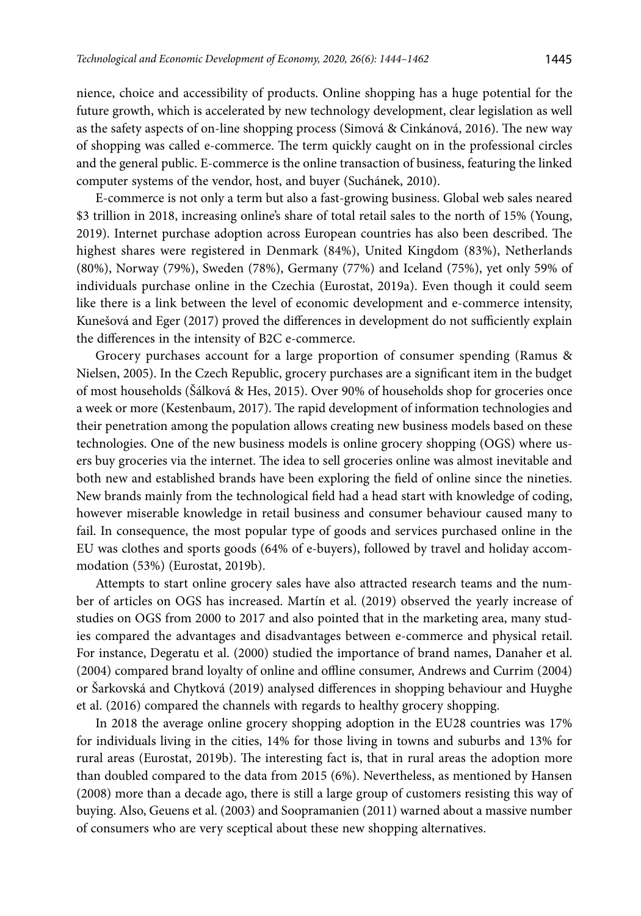nience, choice and accessibility of products. Online shopping has a huge potential for the future growth, which is accelerated by new technology development, clear legislation as well as the safety aspects of on-line shopping process (Simová & Cinkánová, 2016). The new way of shopping was called e-commerce. The term quickly caught on in the professional circles and the general public. E-commerce is the online transaction of business, featuring the linked computer systems of the vendor, host, and buyer (Suchánek, 2010).

E-commerce is not only a term but also a fast-growing business. Global web sales neared \$3 trillion in 2018, increasing online's share of total retail sales to the north of 15% (Young, 2019). Internet purchase adoption across European countries has also been described. The highest shares were registered in Denmark (84%), United Kingdom (83%), Netherlands (80%), Norway (79%), Sweden (78%), Germany (77%) and Iceland (75%), yet only 59% of individuals purchase online in the Czechia (Eurostat, 2019a). Even though it could seem like there is a link between the level of economic development and e-commerce intensity, Kunešová and Eger (2017) proved the differences in development do not sufficiently explain the differences in the intensity of B2C e-commerce.

Grocery purchases account for a large proportion of consumer spending (Ramus & Nielsen, 2005). In the Czech Republic, grocery purchases are a significant item in the budget of most households (Šálková & Hes, 2015). Over 90% of households shop for groceries once a week or more (Kestenbaum, 2017). The rapid development of information technologies and their penetration among the population allows creating new business models based on these technologies. One of the new business models is online grocery shopping (OGS) where users buy groceries via the internet. The idea to sell groceries online was almost inevitable and both new and established brands have been exploring the field of online since the nineties. New brands mainly from the technological field had a head start with knowledge of coding, however miserable knowledge in retail business and consumer behaviour caused many to fail. In consequence, the most popular type of goods and services purchased online in the EU was clothes and sports goods (64% of e-buyers), followed by travel and holiday accommodation (53%) (Eurostat, 2019b).

Attempts to start online grocery sales have also attracted research teams and the number of articles on OGS has increased. Martín et al. (2019) observed the yearly increase of studies on OGS from 2000 to 2017 and also pointed that in the marketing area, many studies compared the advantages and disadvantages between e-commerce and physical retail. For instance, Degeratu et al. (2000) studied the importance of brand names, Danaher et al. (2004) compared brand loyalty of online and offline consumer, Andrews and Currim (2004) or Šarkovská and Chytková (2019) analysed differences in shopping behaviour and Huyghe et al. (2016) compared the channels with regards to healthy grocery shopping.

In 2018 the average online grocery shopping adoption in the EU28 countries was 17% for individuals living in the cities, 14% for those living in towns and suburbs and 13% for rural areas (Eurostat, 2019b). The interesting fact is, that in rural areas the adoption more than doubled compared to the data from 2015 (6%). Nevertheless, as mentioned by Hansen (2008) more than a decade ago, there is still a large group of customers resisting this way of buying. Also, Geuens et al. (2003) and Soopramanien (2011) warned about a massive number of consumers who are very sceptical about these new shopping alternatives.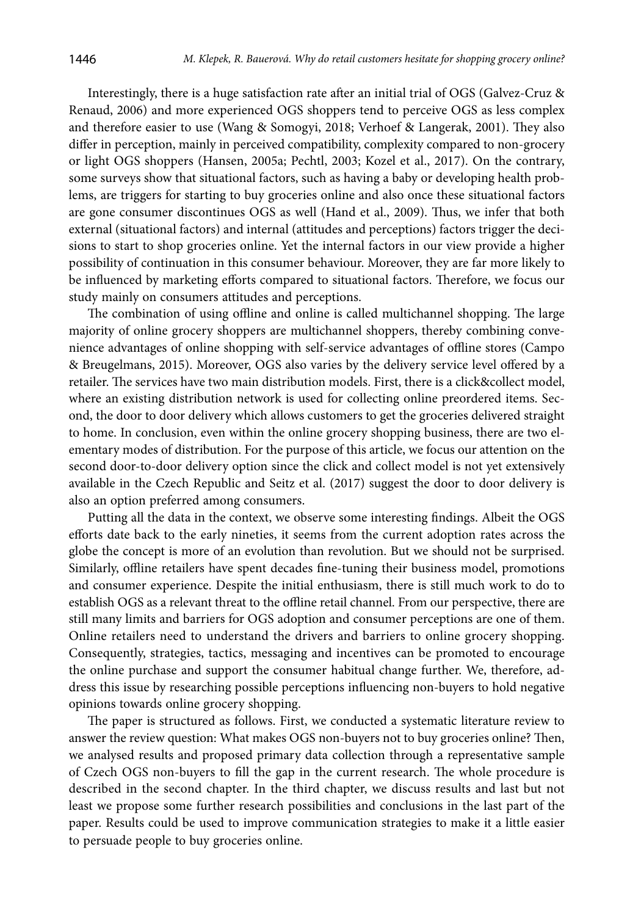Interestingly, there is a huge satisfaction rate after an initial trial of OGS (Galvez-Cruz & Renaud, 2006) and more experienced OGS shoppers tend to perceive OGS as less complex and therefore easier to use (Wang & Somogyi, 2018; Verhoef & Langerak, 2001). They also differ in perception, mainly in perceived compatibility, complexity compared to non-grocery or light OGS shoppers (Hansen, 2005a; Pechtl, 2003; Kozel et al., 2017). On the contrary, some surveys show that situational factors, such as having a baby or developing health problems, are triggers for starting to buy groceries online and also once these situational factors are gone consumer discontinues OGS as well (Hand et al., 2009). Thus, we infer that both external (situational factors) and internal (attitudes and perceptions) factors trigger the decisions to start to shop groceries online. Yet the internal factors in our view provide a higher possibility of continuation in this consumer behaviour. Moreover, they are far more likely to be influenced by marketing efforts compared to situational factors. Therefore, we focus our study mainly on consumers attitudes and perceptions.

The combination of using offline and online is called multichannel shopping. The large majority of online grocery shoppers are multichannel shoppers, thereby combining convenience advantages of online shopping with self-service advantages of offline stores (Campo & Breugelmans, 2015). Moreover, OGS also varies by the delivery service level offered by a retailer. The services have two main distribution models. First, there is a click&collect model, where an existing distribution network is used for collecting online preordered items. Second, the door to door delivery which allows customers to get the groceries delivered straight to home. In conclusion, even within the online grocery shopping business, there are two elementary modes of distribution. For the purpose of this article, we focus our attention on the second door-to-door delivery option since the click and collect model is not yet extensively available in the Czech Republic and Seitz et al. (2017) suggest the door to door delivery is also an option preferred among consumers.

Putting all the data in the context, we observe some interesting findings. Albeit the OGS efforts date back to the early nineties, it seems from the current adoption rates across the globe the concept is more of an evolution than revolution. But we should not be surprised. Similarly, offline retailers have spent decades fine-tuning their business model, promotions and consumer experience. Despite the initial enthusiasm, there is still much work to do to establish OGS as a relevant threat to the offline retail channel. From our perspective, there are still many limits and barriers for OGS adoption and consumer perceptions are one of them. Online retailers need to understand the drivers and barriers to online grocery shopping. Consequently, strategies, tactics, messaging and incentives can be promoted to encourage the online purchase and support the consumer habitual change further. We, therefore, address this issue by researching possible perceptions influencing non-buyers to hold negative opinions towards online grocery shopping.

The paper is structured as follows. First, we conducted a systematic literature review to answer the review question: What makes OGS non-buyers not to buy groceries online? Then, we analysed results and proposed primary data collection through a representative sample of Czech OGS non-buyers to fill the gap in the current research. The whole procedure is described in the second chapter. In the third chapter, we discuss results and last but not least we propose some further research possibilities and conclusions in the last part of the paper. Results could be used to improve communication strategies to make it a little easier to persuade people to buy groceries online.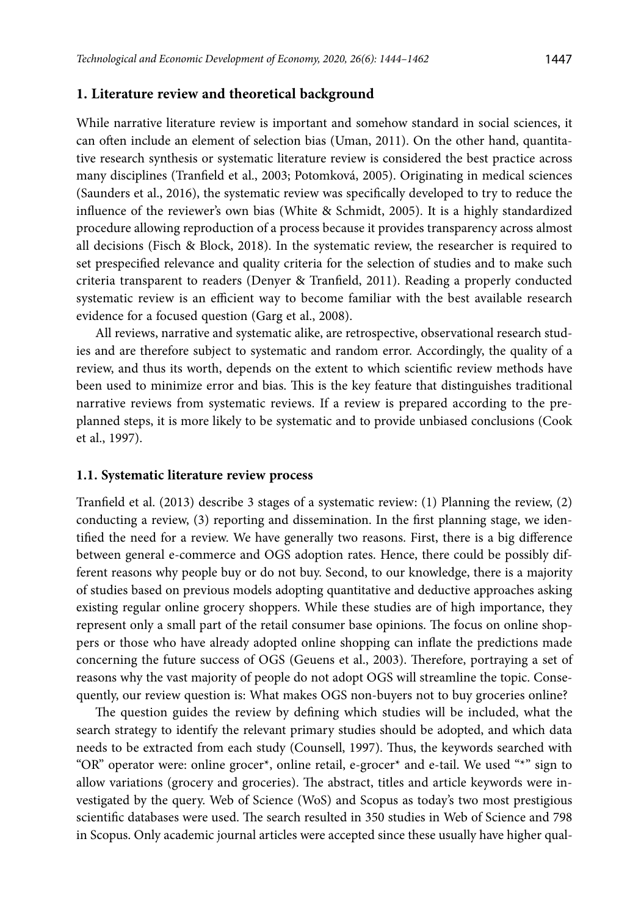#### **1. Literature review and theoretical background**

While narrative literature review is important and somehow standard in social sciences, it can often include an element of selection bias (Uman, 2011). On the other hand, quantitative research synthesis or systematic literature review is considered the best practice across many disciplines (Tranfield et al., 2003; Potomková, 2005). Originating in medical sciences (Saunders et al., 2016), the systematic review was specifically developed to try to reduce the influence of the reviewer's own bias (White & Schmidt, 2005). It is a highly standardized procedure allowing reproduction of a process because it provides transparency across almost all decisions (Fisch & Block, 2018). In the systematic review, the researcher is required to set prespecified relevance and quality criteria for the selection of studies and to make such criteria transparent to readers (Denyer & Tranfield, 2011). Reading a properly conducted systematic review is an efficient way to become familiar with the best available research evidence for a focused question (Garg et al., 2008).

All reviews, narrative and systematic alike, are retrospective, observational research studies and are therefore subject to systematic and random error. Accordingly, the quality of a review, and thus its worth, depends on the extent to which scientific review methods have been used to minimize error and bias. This is the key feature that distinguishes traditional narrative reviews from systematic reviews. If a review is prepared according to the preplanned steps, it is more likely to be systematic and to provide unbiased conclusions (Cook et al., 1997).

### **1.1. Systematic literature review process**

Tranfield et al. (2013) describe 3 stages of a systematic review: (1) Planning the review, (2) conducting a review, (3) reporting and dissemination. In the first planning stage, we identified the need for a review. We have generally two reasons. First, there is a big difference between general e-commerce and OGS adoption rates. Hence, there could be possibly different reasons why people buy or do not buy. Second, to our knowledge, there is a majority of studies based on previous models adopting quantitative and deductive approaches asking existing regular online grocery shoppers. While these studies are of high importance, they represent only a small part of the retail consumer base opinions. The focus on online shoppers or those who have already adopted online shopping can inflate the predictions made concerning the future success of OGS (Geuens et al., 2003). Therefore, portraying a set of reasons why the vast majority of people do not adopt OGS will streamline the topic. Consequently, our review question is: What makes OGS non-buyers not to buy groceries online?

The question guides the review by defining which studies will be included, what the search strategy to identify the relevant primary studies should be adopted, and which data needs to be extracted from each study (Counsell, 1997). Thus, the keywords searched with "OR" operator were: online grocer\*, online retail, e-grocer\* and e-tail. We used "\*" sign to allow variations (grocery and groceries). The abstract, titles and article keywords were investigated by the query. Web of Science (WoS) and Scopus as today's two most prestigious scientific databases were used. The search resulted in 350 studies in Web of Science and 798 in Scopus. Only academic journal articles were accepted since these usually have higher qual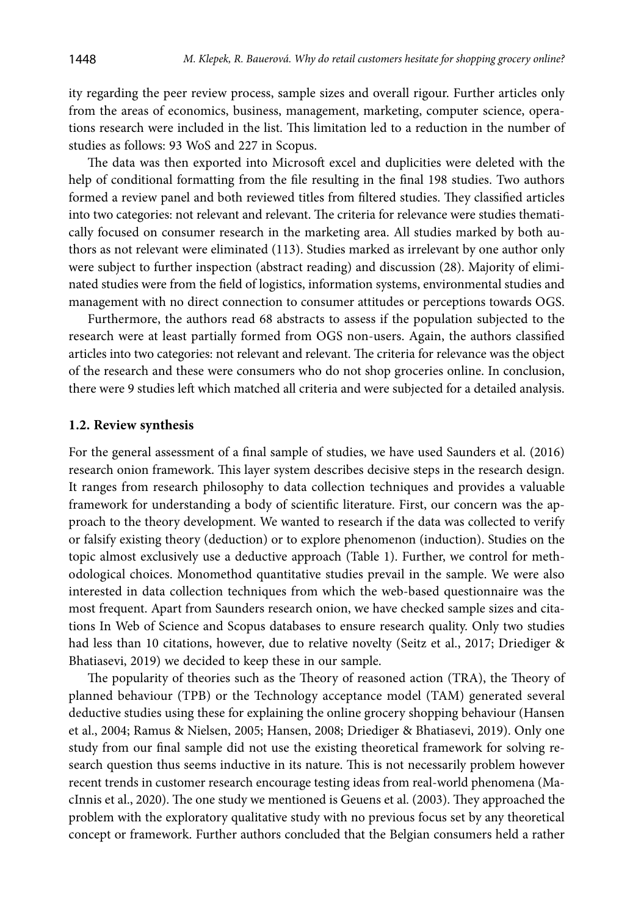ity regarding the peer review process, sample sizes and overall rigour. Further articles only from the areas of economics, business, management, marketing, computer science, operations research were included in the list. This limitation led to a reduction in the number of studies as follows: 93 WoS and 227 in Scopus.

The data was then exported into Microsoft excel and duplicities were deleted with the help of conditional formatting from the file resulting in the final 198 studies. Two authors formed a review panel and both reviewed titles from filtered studies. They classified articles into two categories: not relevant and relevant. The criteria for relevance were studies thematically focused on consumer research in the marketing area. All studies marked by both authors as not relevant were eliminated (113). Studies marked as irrelevant by one author only were subject to further inspection (abstract reading) and discussion (28). Majority of eliminated studies were from the field of logistics, information systems, environmental studies and management with no direct connection to consumer attitudes or perceptions towards OGS.

Furthermore, the authors read 68 abstracts to assess if the population subjected to the research were at least partially formed from OGS non-users. Again, the authors classified articles into two categories: not relevant and relevant. The criteria for relevance was the object of the research and these were consumers who do not shop groceries online. In conclusion, there were 9 studies left which matched all criteria and were subjected for a detailed analysis.

#### **1.2. Review synthesis**

For the general assessment of a final sample of studies, we have used Saunders et al. (2016) research onion framework. This layer system describes decisive steps in the research design. It ranges from research philosophy to data collection techniques and provides a valuable framework for understanding a body of scientific literature. First, our concern was the approach to the theory development. We wanted to research if the data was collected to verify or falsify existing theory (deduction) or to explore phenomenon (induction). Studies on the topic almost exclusively use a deductive approach (Table 1). Further, we control for methodological choices. Monomethod quantitative studies prevail in the sample. We were also interested in data collection techniques from which the web-based questionnaire was the most frequent. Apart from Saunders research onion, we have checked sample sizes and citations In Web of Science and Scopus databases to ensure research quality. Only two studies had less than 10 citations, however, due to relative novelty (Seitz et al., 2017; Driediger & Bhatiasevi, 2019) we decided to keep these in our sample.

The popularity of theories such as the Theory of reasoned action (TRA), the Theory of planned behaviour (TPB) or the Technology acceptance model (TAM) generated several deductive studies using these for explaining the online grocery shopping behaviour (Hansen et al., 2004; Ramus & Nielsen, 2005; Hansen, 2008; Driediger & Bhatiasevi, 2019). Only one study from our final sample did not use the existing theoretical framework for solving research question thus seems inductive in its nature. This is not necessarily problem however recent trends in customer research encourage testing ideas from real-world phenomena (MacInnis et al., 2020). The one study we mentioned is Geuens et al. (2003). They approached the problem with the exploratory qualitative study with no previous focus set by any theoretical concept or framework. Further authors concluded that the Belgian consumers held a rather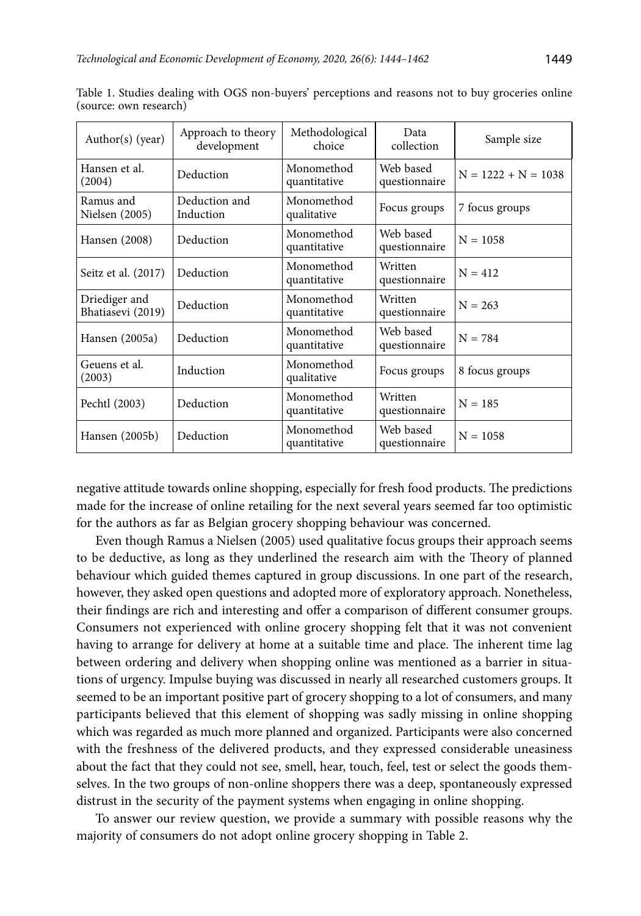| Author(s) (year)                   | Approach to theory<br>development | Methodological<br>choice   | Data<br>collection         | Sample size           |
|------------------------------------|-----------------------------------|----------------------------|----------------------------|-----------------------|
| Hansen et al.<br>(2004)            | Deduction                         | Monomethod<br>quantitative | Web based<br>questionnaire | $N = 1222 + N = 1038$ |
| Ramus and<br>Nielsen (2005)        | Deduction and<br>Induction        | Monomethod<br>qualitative  | Focus groups               | 7 focus groups        |
| Hansen (2008)                      | Deduction                         | Monomethod<br>quantitative | Web based<br>questionnaire | $N = 1058$            |
| Seitz et al. (2017)                | Deduction                         | Monomethod<br>quantitative | Written<br>questionnaire   | $N = 412$             |
| Driediger and<br>Bhatiasevi (2019) | Deduction                         | Monomethod<br>quantitative | Written<br>questionnaire   | $N = 263$             |
| Hansen (2005a)                     | Deduction                         | Monomethod<br>quantitative | Web based<br>questionnaire | $N = 784$             |
| Geuens et al.<br>(2003)            | Induction                         | Monomethod<br>qualitative  | Focus groups               | 8 focus groups        |
| Pechtl (2003)                      | Deduction                         | Monomethod<br>quantitative | Written<br>questionnaire   | $N = 185$             |
| Hansen (2005b)                     | Deduction                         | Monomethod<br>quantitative | Web based<br>questionnaire | $N = 1058$            |

Table 1. Studies dealing with OGS non-buyers' perceptions and reasons not to buy groceries online (source: own research)

negative attitude towards online shopping, especially for fresh food products. The predictions made for the increase of online retailing for the next several years seemed far too optimistic for the authors as far as Belgian grocery shopping behaviour was concerned.

Even though Ramus a Nielsen (2005) used qualitative focus groups their approach seems to be deductive, as long as they underlined the research aim with the Theory of planned behaviour which guided themes captured in group discussions. In one part of the research, however, they asked open questions and adopted more of exploratory approach. Nonetheless, their findings are rich and interesting and offer a comparison of different consumer groups. Consumers not experienced with online grocery shopping felt that it was not convenient having to arrange for delivery at home at a suitable time and place. The inherent time lag between ordering and delivery when shopping online was mentioned as a barrier in situations of urgency. Impulse buying was discussed in nearly all researched customers groups. It seemed to be an important positive part of grocery shopping to a lot of consumers, and many participants believed that this element of shopping was sadly missing in online shopping which was regarded as much more planned and organized. Participants were also concerned with the freshness of the delivered products, and they expressed considerable uneasiness about the fact that they could not see, smell, hear, touch, feel, test or select the goods themselves. In the two groups of non-online shoppers there was a deep, spontaneously expressed distrust in the security of the payment systems when engaging in online shopping.

To answer our review question, we provide a summary with possible reasons why the majority of consumers do not adopt online grocery shopping in Table 2.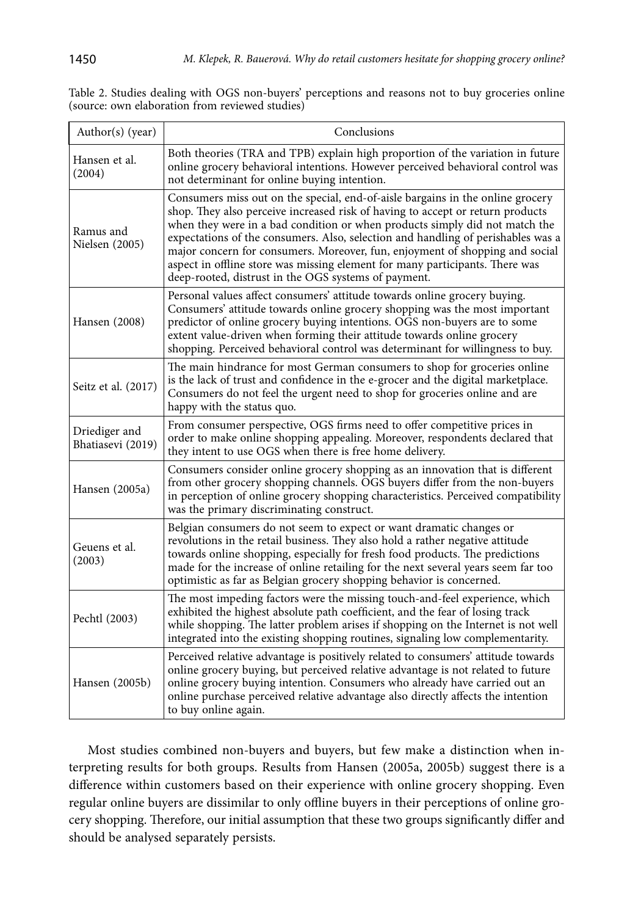| Author(s) (year)                   | Conclusions                                                                                                                                                                                                                                                                                                                                                                                                                                                                                                                                                 |
|------------------------------------|-------------------------------------------------------------------------------------------------------------------------------------------------------------------------------------------------------------------------------------------------------------------------------------------------------------------------------------------------------------------------------------------------------------------------------------------------------------------------------------------------------------------------------------------------------------|
| Hansen et al.<br>(2004)            | Both theories (TRA and TPB) explain high proportion of the variation in future<br>online grocery behavioral intentions. However perceived behavioral control was<br>not determinant for online buying intention.                                                                                                                                                                                                                                                                                                                                            |
| Ramus and<br>Nielsen (2005)        | Consumers miss out on the special, end-of-aisle bargains in the online grocery<br>shop. They also perceive increased risk of having to accept or return products<br>when they were in a bad condition or when products simply did not match the<br>expectations of the consumers. Also, selection and handling of perishables was a<br>major concern for consumers. Moreover, fun, enjoyment of shopping and social<br>aspect in offline store was missing element for many participants. There was<br>deep-rooted, distrust in the OGS systems of payment. |
| Hansen (2008)                      | Personal values affect consumers' attitude towards online grocery buying.<br>Consumers' attitude towards online grocery shopping was the most important<br>predictor of online grocery buying intentions. OGS non-buyers are to some<br>extent value-driven when forming their attitude towards online grocery<br>shopping. Perceived behavioral control was determinant for willingness to buy.                                                                                                                                                            |
| Seitz et al. (2017)                | The main hindrance for most German consumers to shop for groceries online<br>is the lack of trust and confidence in the e-grocer and the digital marketplace.<br>Consumers do not feel the urgent need to shop for groceries online and are<br>happy with the status quo.                                                                                                                                                                                                                                                                                   |
| Driediger and<br>Bhatiasevi (2019) | From consumer perspective, OGS firms need to offer competitive prices in<br>order to make online shopping appealing. Moreover, respondents declared that<br>they intent to use OGS when there is free home delivery.                                                                                                                                                                                                                                                                                                                                        |
| Hansen (2005a)                     | Consumers consider online grocery shopping as an innovation that is different<br>from other grocery shopping channels. OGS buyers differ from the non-buyers<br>in perception of online grocery shopping characteristics. Perceived compatibility<br>was the primary discriminating construct.                                                                                                                                                                                                                                                              |
| Geuens et al.<br>(2003)            | Belgian consumers do not seem to expect or want dramatic changes or<br>revolutions in the retail business. They also hold a rather negative attitude<br>towards online shopping, especially for fresh food products. The predictions<br>made for the increase of online retailing for the next several years seem far too<br>optimistic as far as Belgian grocery shopping behavior is concerned.                                                                                                                                                           |
| Pechtl (2003)                      | The most impeding factors were the missing touch-and-feel experience, which<br>exhibited the highest absolute path coefficient, and the fear of losing track<br>while shopping. The latter problem arises if shopping on the Internet is not well<br>integrated into the existing shopping routines, signaling low complementarity.                                                                                                                                                                                                                         |
| Hansen (2005b)                     | Perceived relative advantage is positively related to consumers' attitude towards<br>online grocery buying, but perceived relative advantage is not related to future<br>online grocery buying intention. Consumers who already have carried out an<br>online purchase perceived relative advantage also directly affects the intention<br>to buy online again.                                                                                                                                                                                             |

Table 2. Studies dealing with OGS non-buyers' perceptions and reasons not to buy groceries online (source: own elaboration from reviewed studies)

Most studies combined non-buyers and buyers, but few make a distinction when interpreting results for both groups. Results from Hansen (2005a, 2005b) suggest there is a difference within customers based on their experience with online grocery shopping. Even regular online buyers are dissimilar to only offline buyers in their perceptions of online grocery shopping. Therefore, our initial assumption that these two groups significantly differ and should be analysed separately persists.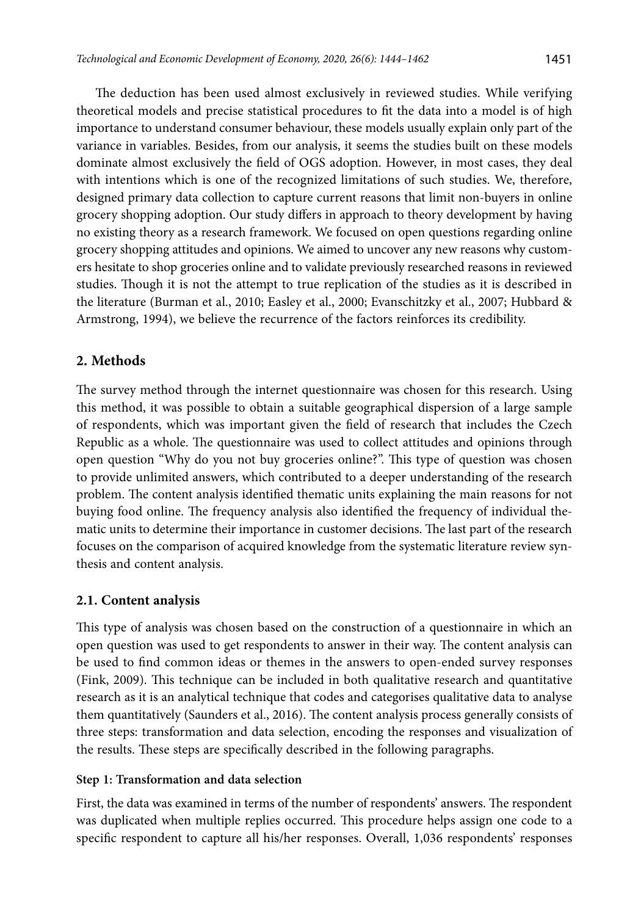The deduction has been used almost exclusively in reviewed studies. While verifying theoretical models and precise statistical procedures to fit the data into a model is of high importance to understand consumer behaviour, these models usually explain only part of the variance in variables. Besides, from our analysis, it seems the studies built on these models dominate almost exclusively the field of OGS adoption. However, in most cases, they deal with intentions which is one of the recognized limitations of such studies. We, therefore, designed primary data collection to capture current reasons that limit non-buyers in online grocery shopping adoption. Our study differs in approach to theory development by having no existing theory as a research framework. We focused on open questions regarding online grocery shopping attitudes and opinions. We aimed to uncover any new reasons why customers hesitate to shop groceries online and to validate previously researched reasons in reviewed studies. Though it is not the attempt to true replication of the studies as it is described in the literature (Burman et al., 2010; Easley et al., 2000; Evanschitzky et al., 2007; Hubbard & Armstrong, 1994), we believe the recurrence of the factors reinforces its credibility.

# **2. Methods**

The survey method through the internet questionnaire was chosen for this research. Using this method, it was possible to obtain a suitable geographical dispersion of a large sample of respondents, which was important given the field of research that includes the Czech Republic as a whole. The questionnaire was used to collect attitudes and opinions through open question "Why do you not buy groceries online?". This type of question was chosen to provide unlimited answers, which contributed to a deeper understanding of the research problem. The content analysis identified thematic units explaining the main reasons for not buying food online. The frequency analysis also identified the frequency of individual thematic units to determine their importance in customer decisions. The last part of the research focuses on the comparison of acquired knowledge from the systematic literature review synthesis and content analysis.

### **2.1. Content analysis**

This type of analysis was chosen based on the construction of a questionnaire in which an open question was used to get respondents to answer in their way. The content analysis can be used to find common ideas or themes in the answers to open-ended survey responses (Fink, 2009). This technique can be included in both qualitative research and quantitative research as it is an analytical technique that codes and categorises qualitative data to analyse them quantitatively (Saunders et al., 2016). The content analysis process generally consists of three steps: transformation and data selection, encoding the responses and visualization of the results. These steps are specifically described in the following paragraphs.

### **Step 1: Transformation and data selection**

First, the data was examined in terms of the number of respondents' answers. The respondent was duplicated when multiple replies occurred. This procedure helps assign one code to a specific respondent to capture all his/her responses. Overall, 1,036 respondents' responses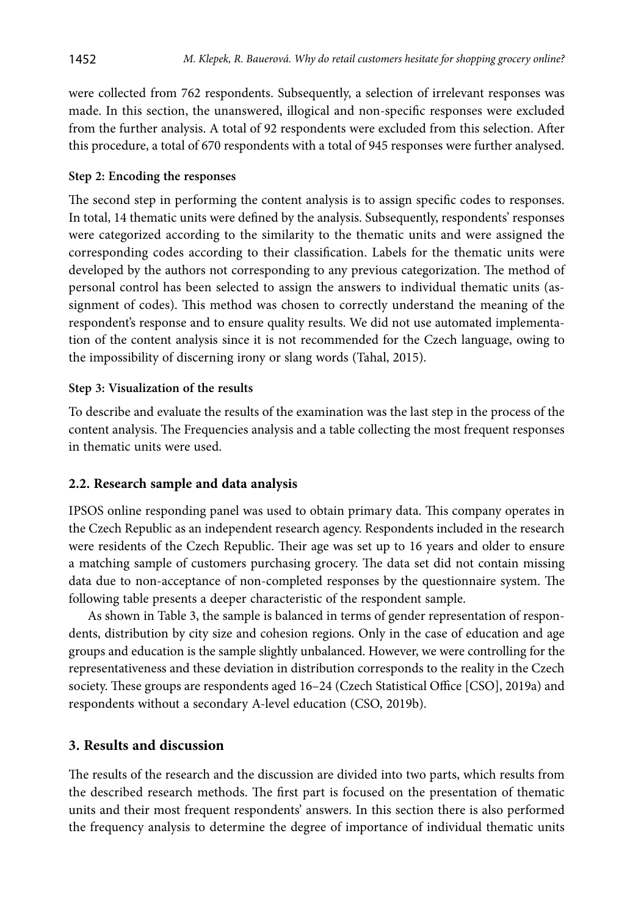were collected from 762 respondents. Subsequently, a selection of irrelevant responses was made. In this section, the unanswered, illogical and non-specific responses were excluded from the further analysis. A total of 92 respondents were excluded from this selection. After this procedure, a total of 670 respondents with a total of 945 responses were further analysed.

### **Step 2: Encoding the responses**

The second step in performing the content analysis is to assign specific codes to responses. In total, 14 thematic units were defined by the analysis. Subsequently, respondents' responses were categorized according to the similarity to the thematic units and were assigned the corresponding codes according to their classification. Labels for the thematic units were developed by the authors not corresponding to any previous categorization. The method of personal control has been selected to assign the answers to individual thematic units (assignment of codes). This method was chosen to correctly understand the meaning of the respondent's response and to ensure quality results. We did not use automated implementation of the content analysis since it is not recommended for the Czech language, owing to the impossibility of discerning irony or slang words (Tahal, 2015).

### **Step 3: Visualization of the results**

To describe and evaluate the results of the examination was the last step in the process of the content analysis. The Frequencies analysis and a table collecting the most frequent responses in thematic units were used.

### **2.2. Research sample and data analysis**

IPSOS online responding panel was used to obtain primary data. This company operates in the Czech Republic as an independent research agency. Respondents included in the research were residents of the Czech Republic. Their age was set up to 16 years and older to ensure a matching sample of customers purchasing grocery. The data set did not contain missing data due to non-acceptance of non-completed responses by the questionnaire system. The following table presents a deeper characteristic of the respondent sample.

As shown in Table 3, the sample is balanced in terms of gender representation of respondents, distribution by city size and cohesion regions. Only in the case of education and age groups and education is the sample slightly unbalanced. However, we were controlling for the representativeness and these deviation in distribution corresponds to the reality in the Czech society. These groups are respondents aged 16–24 (Czech Statistical Office [CSO], 2019a) and respondents without a secondary A-level education (CSO, 2019b).

# **3. Results and discussion**

The results of the research and the discussion are divided into two parts, which results from the described research methods. The first part is focused on the presentation of thematic units and their most frequent respondents' answers. In this section there is also performed the frequency analysis to determine the degree of importance of individual thematic units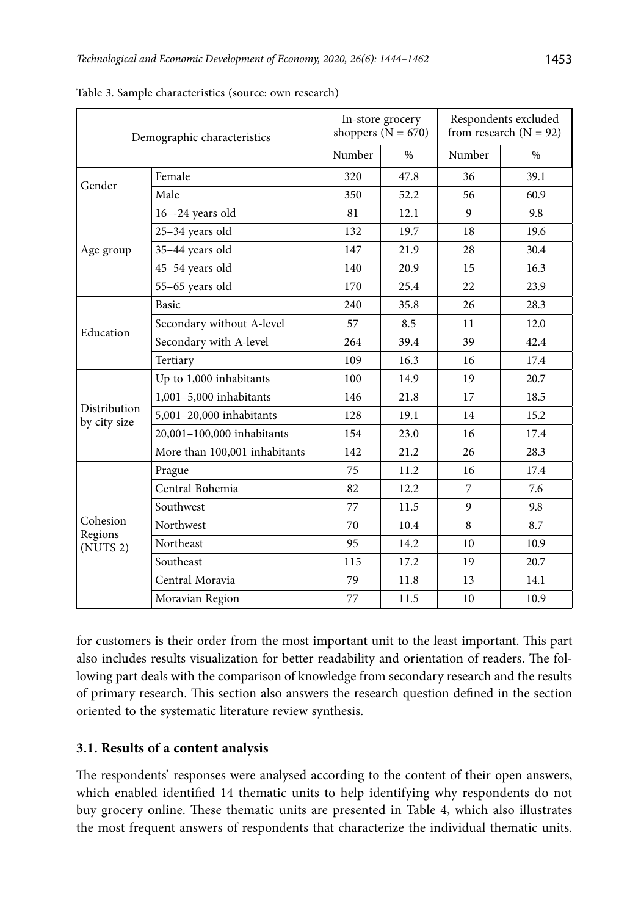| Demographic characteristics                 |                               | In-store grocery<br>shoppers $(N = 670)$ |                                              | Respondents excluded<br>from research $(N = 92)$                                                                       |      |
|---------------------------------------------|-------------------------------|------------------------------------------|----------------------------------------------|------------------------------------------------------------------------------------------------------------------------|------|
|                                             |                               | Number                                   | $\%$                                         | Number                                                                                                                 | $\%$ |
| Gender                                      | Female                        | 320                                      | 47.8                                         | 36                                                                                                                     | 39.1 |
|                                             | Male                          | 350                                      | 52.2                                         | 56<br>9<br>18<br>28<br>15<br>22<br>26<br>11<br>39<br>16<br>19<br>17<br>14<br>16<br>26<br>16<br>7<br>9<br>8<br>10<br>19 | 60.9 |
|                                             | $16 - -24$ years old          | 81                                       | 12.1                                         |                                                                                                                        | 9.8  |
| Age group                                   | 25-34 years old               | 132                                      | 19.7                                         |                                                                                                                        | 19.6 |
|                                             | 35-44 years old               | 147                                      | 21.9                                         |                                                                                                                        | 30.4 |
|                                             | 45-54 years old               | 140                                      | 20.9                                         |                                                                                                                        | 16.3 |
|                                             | 55-65 years old               | 170                                      | 25.4                                         |                                                                                                                        | 23.9 |
|                                             | Basic                         | 240                                      | 35.8                                         |                                                                                                                        | 28.3 |
| Education                                   | Secondary without A-level     | 57                                       | 8.5                                          |                                                                                                                        | 12.0 |
|                                             | Secondary with A-level        | 264                                      | 39.4                                         |                                                                                                                        | 42.4 |
|                                             | Tertiary                      | 109                                      | 16.3                                         |                                                                                                                        | 17.4 |
|                                             | Up to 1,000 inhabitants       | 100                                      | 14.9                                         |                                                                                                                        | 20.7 |
| Distribution<br>by city size                | 1,001-5,000 inhabitants       | 146                                      | 21.8                                         |                                                                                                                        | 18.5 |
|                                             | 5,001-20,000 inhabitants      | 128                                      | 19.1                                         |                                                                                                                        | 15.2 |
|                                             | 20,001-100,000 inhabitants    | 154                                      | 23.0<br>21.2<br>11.2<br>12.2<br>11.5<br>10.4 |                                                                                                                        | 17.4 |
|                                             | More than 100,001 inhabitants | 142                                      |                                              |                                                                                                                        | 28.3 |
|                                             | Prague                        | 75                                       |                                              |                                                                                                                        | 17.4 |
|                                             | Central Bohemia               | 82                                       |                                              |                                                                                                                        | 7.6  |
|                                             | Southwest                     | 77                                       |                                              |                                                                                                                        | 9.8  |
| Cohesion<br>Regions<br>(NUTS <sub>2</sub> ) | Northwest                     | 70                                       |                                              |                                                                                                                        | 8.7  |
|                                             | Northeast                     | 95                                       | 14.2                                         |                                                                                                                        | 10.9 |
|                                             | Southeast                     | 115                                      | 17.2                                         |                                                                                                                        | 20.7 |
|                                             | Central Moravia               | 79                                       | 11.8                                         | 13                                                                                                                     | 14.1 |
|                                             | Moravian Region               | 77                                       | 11.5                                         | 10                                                                                                                     | 10.9 |

Table 3. Sample characteristics (source: own research)

for customers is their order from the most important unit to the least important. This part also includes results visualization for better readability and orientation of readers. The following part deals with the comparison of knowledge from secondary research and the results of primary research. This section also answers the research question defined in the section oriented to the systematic literature review synthesis.

# **3.1. Results of a content analysis**

The respondents' responses were analysed according to the content of their open answers, which enabled identified 14 thematic units to help identifying why respondents do not buy grocery online. These thematic units are presented in Table 4, which also illustrates the most frequent answers of respondents that characterize the individual thematic units.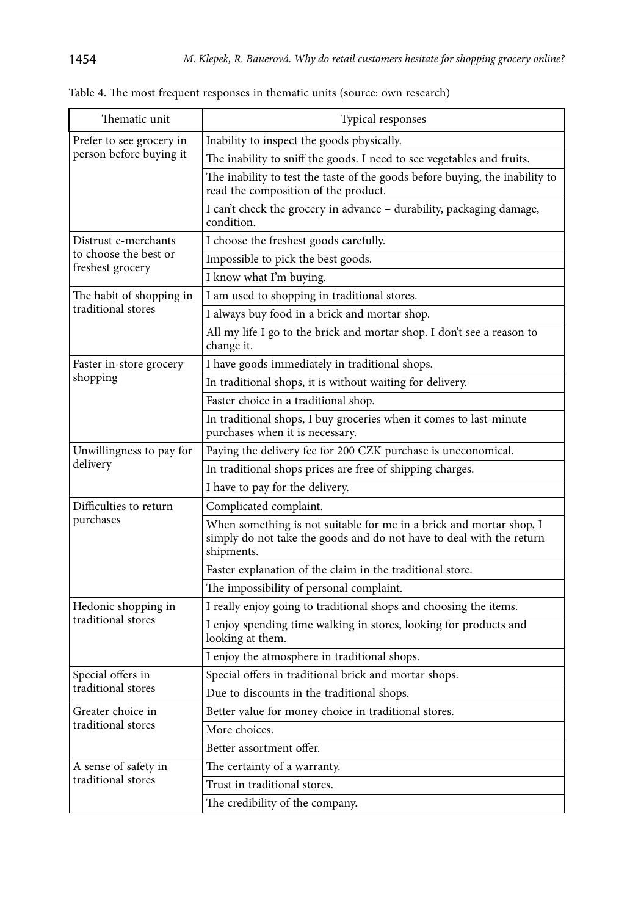| Thematic unit                             | Typical responses                                                                                                                                         |  |
|-------------------------------------------|-----------------------------------------------------------------------------------------------------------------------------------------------------------|--|
| Prefer to see grocery in                  | Inability to inspect the goods physically.                                                                                                                |  |
| person before buying it                   | The inability to sniff the goods. I need to see vegetables and fruits.                                                                                    |  |
|                                           | The inability to test the taste of the goods before buying, the inability to<br>read the composition of the product.                                      |  |
|                                           | I can't check the grocery in advance - durability, packaging damage,<br>condition.                                                                        |  |
| Distrust e-merchants                      | I choose the freshest goods carefully.                                                                                                                    |  |
| to choose the best or<br>freshest grocery | Impossible to pick the best goods.                                                                                                                        |  |
|                                           | I know what I'm buying.                                                                                                                                   |  |
| The habit of shopping in                  | I am used to shopping in traditional stores.                                                                                                              |  |
| traditional stores                        | I always buy food in a brick and mortar shop.                                                                                                             |  |
|                                           | All my life I go to the brick and mortar shop. I don't see a reason to<br>change it.                                                                      |  |
| Faster in-store grocery                   | I have goods immediately in traditional shops.                                                                                                            |  |
| shopping                                  | In traditional shops, it is without waiting for delivery.                                                                                                 |  |
|                                           | Faster choice in a traditional shop.                                                                                                                      |  |
|                                           | In traditional shops, I buy groceries when it comes to last-minute<br>purchases when it is necessary.                                                     |  |
| Unwillingness to pay for                  | Paying the delivery fee for 200 CZK purchase is uneconomical.                                                                                             |  |
| delivery                                  | In traditional shops prices are free of shipping charges.                                                                                                 |  |
|                                           | I have to pay for the delivery.                                                                                                                           |  |
| Difficulties to return                    | Complicated complaint.                                                                                                                                    |  |
| purchases                                 | When something is not suitable for me in a brick and mortar shop, I<br>simply do not take the goods and do not have to deal with the return<br>shipments. |  |
|                                           | Faster explanation of the claim in the traditional store.                                                                                                 |  |
|                                           | The impossibility of personal complaint.                                                                                                                  |  |
| Hedonic shopping in                       | I really enjoy going to traditional shops and choosing the items.                                                                                         |  |
| traditional stores                        | I enjoy spending time walking in stores, looking for products and<br>looking at them.                                                                     |  |
|                                           | I enjoy the atmosphere in traditional shops.                                                                                                              |  |
| Special offers in                         | Special offers in traditional brick and mortar shops.                                                                                                     |  |
| traditional stores                        | Due to discounts in the traditional shops.                                                                                                                |  |
| Greater choice in                         | Better value for money choice in traditional stores.                                                                                                      |  |
| traditional stores                        | More choices.                                                                                                                                             |  |
|                                           | Better assortment offer.                                                                                                                                  |  |
| A sense of safety in                      | The certainty of a warranty.                                                                                                                              |  |
| traditional stores                        | Trust in traditional stores.                                                                                                                              |  |
|                                           | The credibility of the company.                                                                                                                           |  |

Table 4. The most frequent responses in thematic units (source: own research)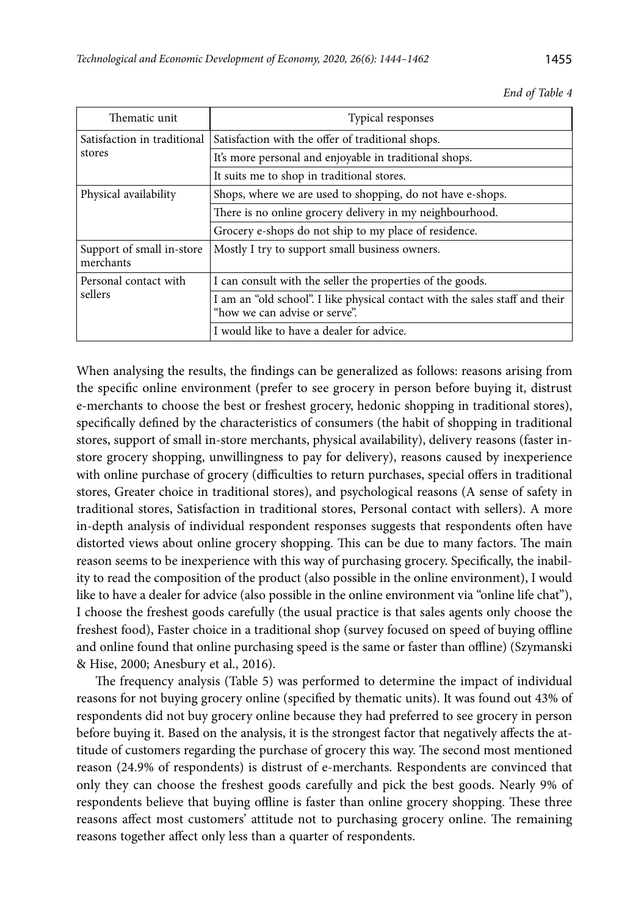| Thematic unit                          | Typical responses                                                                                             |  |
|----------------------------------------|---------------------------------------------------------------------------------------------------------------|--|
| Satisfaction in traditional            | Satisfaction with the offer of traditional shops.                                                             |  |
| stores                                 | It's more personal and enjoyable in traditional shops.                                                        |  |
|                                        | It suits me to shop in traditional stores.                                                                    |  |
| Physical availability                  | Shops, where we are used to shopping, do not have e-shops.                                                    |  |
|                                        | There is no online grocery delivery in my neighbourhood.                                                      |  |
|                                        | Grocery e-shops do not ship to my place of residence.                                                         |  |
| Support of small in-store<br>merchants | Mostly I try to support small business owners.                                                                |  |
| Personal contact with                  | I can consult with the seller the properties of the goods.                                                    |  |
| sellers                                | I am an "old school". I like physical contact with the sales staff and their<br>"how we can advise or serve". |  |
|                                        | I would like to have a dealer for advice.                                                                     |  |

*End of Table 4*

When analysing the results, the findings can be generalized as follows: reasons arising from the specific online environment (prefer to see grocery in person before buying it, distrust e-merchants to choose the best or freshest grocery, hedonic shopping in traditional stores), specifically defined by the characteristics of consumers (the habit of shopping in traditional stores, support of small in-store merchants, physical availability), delivery reasons (faster instore grocery shopping, unwillingness to pay for delivery), reasons caused by inexperience with online purchase of grocery (difficulties to return purchases, special offers in traditional stores, Greater choice in traditional stores), and psychological reasons (A sense of safety in traditional stores, Satisfaction in traditional stores, Personal contact with sellers). A more in-depth analysis of individual respondent responses suggests that respondents often have distorted views about online grocery shopping. This can be due to many factors. The main reason seems to be inexperience with this way of purchasing grocery. Specifically, the inability to read the composition of the product (also possible in the online environment), I would like to have a dealer for advice (also possible in the online environment via "online life chat"), I choose the freshest goods carefully (the usual practice is that sales agents only choose the freshest food), Faster choice in a traditional shop (survey focused on speed of buying offline and online found that online purchasing speed is the same or faster than offline) (Szymanski & Hise, 2000; Anesbury et al., 2016).

The frequency analysis (Table 5) was performed to determine the impact of individual reasons for not buying grocery online (specified by thematic units). It was found out 43% of respondents did not buy grocery online because they had preferred to see grocery in person before buying it. Based on the analysis, it is the strongest factor that negatively affects the attitude of customers regarding the purchase of grocery this way. The second most mentioned reason (24.9% of respondents) is distrust of e-merchants. Respondents are convinced that only they can choose the freshest goods carefully and pick the best goods. Nearly 9% of respondents believe that buying offline is faster than online grocery shopping. These three reasons affect most customers' attitude not to purchasing grocery online. The remaining reasons together affect only less than a quarter of respondents.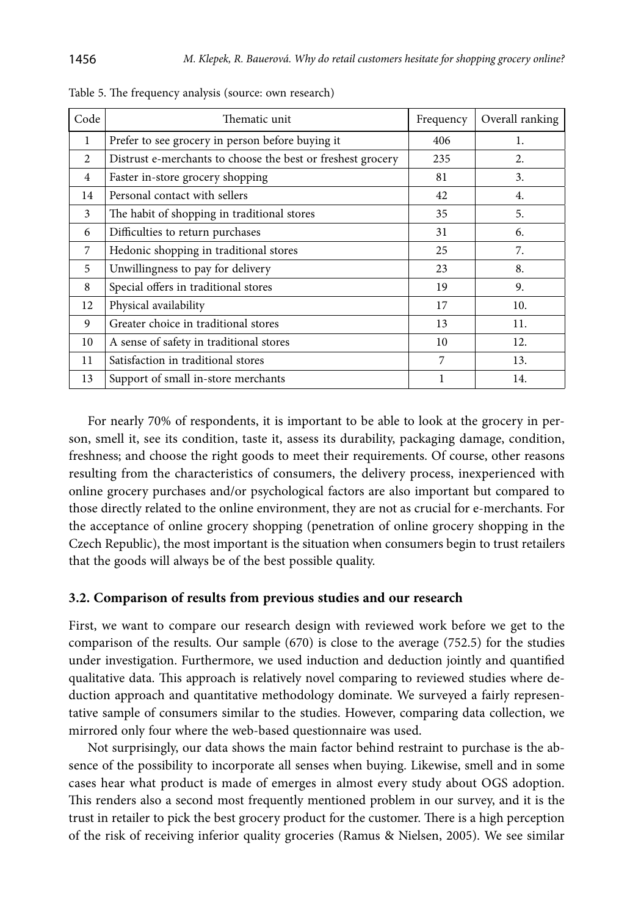| Code           | Thematic unit                                               | Frequency | Overall ranking |
|----------------|-------------------------------------------------------------|-----------|-----------------|
| 1              | Prefer to see grocery in person before buying it            | 406       | 1.              |
| 2              | Distrust e-merchants to choose the best or freshest grocery | 235       | 2.              |
| $\overline{4}$ | Faster in-store grocery shopping                            | 81        | 3.              |
| 14             | Personal contact with sellers                               | 42        | 4.              |
| 3              | The habit of shopping in traditional stores                 | 35        | 5.              |
| 6              | Difficulties to return purchases                            | 31        | 6.              |
| 7              | Hedonic shopping in traditional stores                      | 25        | 7.              |
| 5              | Unwillingness to pay for delivery                           | 23        | 8.              |
| 8              | Special offers in traditional stores                        | 19        | 9.              |
| 12             | Physical availability                                       | 17        | 10.             |
| 9              | Greater choice in traditional stores                        | 13        | 11.             |
| 10             | A sense of safety in traditional stores                     | 10        | 12.             |
| 11             | Satisfaction in traditional stores                          | 7         | 13.             |
| 13             | Support of small in-store merchants                         | 1         | 14.             |

Table 5. The frequency analysis (source: own research)

For nearly 70% of respondents, it is important to be able to look at the grocery in person, smell it, see its condition, taste it, assess its durability, packaging damage, condition, freshness; and choose the right goods to meet their requirements. Of course, other reasons resulting from the characteristics of consumers, the delivery process, inexperienced with online grocery purchases and/or psychological factors are also important but compared to those directly related to the online environment, they are not as crucial for e-merchants. For the acceptance of online grocery shopping (penetration of online grocery shopping in the Czech Republic), the most important is the situation when consumers begin to trust retailers that the goods will always be of the best possible quality.

### **3.2. Comparison of results from previous studies and our research**

First, we want to compare our research design with reviewed work before we get to the comparison of the results. Our sample (670) is close to the average (752.5) for the studies under investigation. Furthermore, we used induction and deduction jointly and quantified qualitative data. This approach is relatively novel comparing to reviewed studies where deduction approach and quantitative methodology dominate. We surveyed a fairly representative sample of consumers similar to the studies. However, comparing data collection, we mirrored only four where the web-based questionnaire was used.

Not surprisingly, our data shows the main factor behind restraint to purchase is the absence of the possibility to incorporate all senses when buying. Likewise, smell and in some cases hear what product is made of emerges in almost every study about OGS adoption. This renders also a second most frequently mentioned problem in our survey, and it is the trust in retailer to pick the best grocery product for the customer. There is a high perception of the risk of receiving inferior quality groceries (Ramus & Nielsen, 2005). We see similar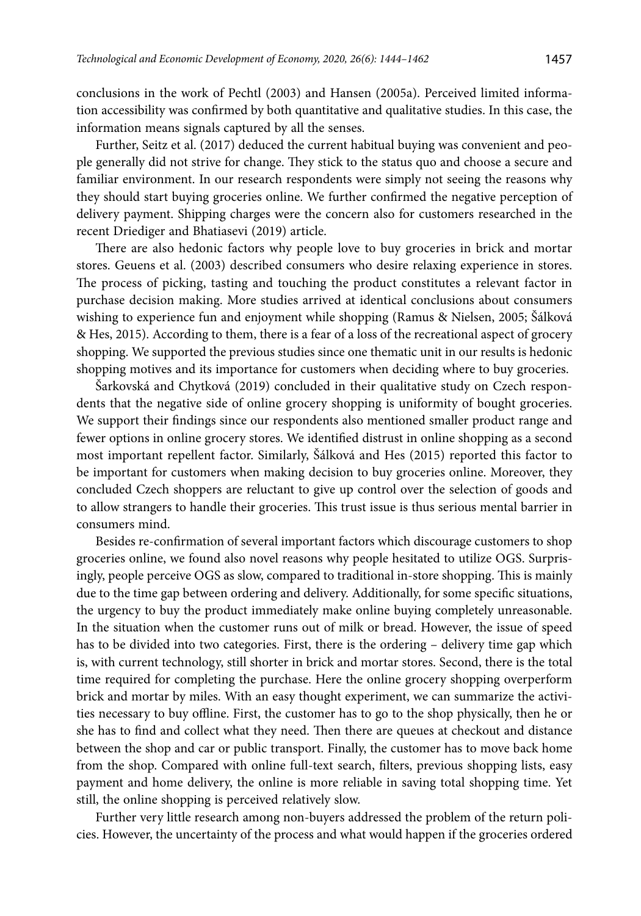conclusions in the work of Pechtl (2003) and Hansen (2005a). Perceived limited information accessibility was confirmed by both quantitative and qualitative studies. In this case, the information means signals captured by all the senses.

Further, Seitz et al. (2017) deduced the current habitual buying was convenient and people generally did not strive for change. They stick to the status quo and choose a secure and familiar environment. In our research respondents were simply not seeing the reasons why they should start buying groceries online. We further confirmed the negative perception of delivery payment. Shipping charges were the concern also for customers researched in the recent Driediger and Bhatiasevi (2019) article.

There are also hedonic factors why people love to buy groceries in brick and mortar stores. Geuens et al. (2003) described consumers who desire relaxing experience in stores. The process of picking, tasting and touching the product constitutes a relevant factor in purchase decision making. More studies arrived at identical conclusions about consumers wishing to experience fun and enjoyment while shopping (Ramus & Nielsen, 2005; Šálková & Hes, 2015). According to them, there is a fear of a loss of the recreational aspect of grocery shopping. We supported the previous studies since one thematic unit in our results is hedonic shopping motives and its importance for customers when deciding where to buy groceries.

Šarkovská and Chytková (2019) concluded in their qualitative study on Czech respondents that the negative side of online grocery shopping is uniformity of bought groceries. We support their findings since our respondents also mentioned smaller product range and fewer options in online grocery stores. We identified distrust in online shopping as a second most important repellent factor. Similarly, Šálková and Hes (2015) reported this factor to be important for customers when making decision to buy groceries online. Moreover, they concluded Czech shoppers are reluctant to give up control over the selection of goods and to allow strangers to handle their groceries. This trust issue is thus serious mental barrier in consumers mind.

Besides re-confirmation of several important factors which discourage customers to shop groceries online, we found also novel reasons why people hesitated to utilize OGS. Surprisingly, people perceive OGS as slow, compared to traditional in-store shopping. This is mainly due to the time gap between ordering and delivery. Additionally, for some specific situations, the urgency to buy the product immediately make online buying completely unreasonable. In the situation when the customer runs out of milk or bread. However, the issue of speed has to be divided into two categories. First, there is the ordering – delivery time gap which is, with current technology, still shorter in brick and mortar stores. Second, there is the total time required for completing the purchase. Here the online grocery shopping overperform brick and mortar by miles. With an easy thought experiment, we can summarize the activities necessary to buy offline. First, the customer has to go to the shop physically, then he or she has to find and collect what they need. Then there are queues at checkout and distance between the shop and car or public transport. Finally, the customer has to move back home from the shop. Compared with online full-text search, filters, previous shopping lists, easy payment and home delivery, the online is more reliable in saving total shopping time. Yet still, the online shopping is perceived relatively slow.

Further very little research among non-buyers addressed the problem of the return policies. However, the uncertainty of the process and what would happen if the groceries ordered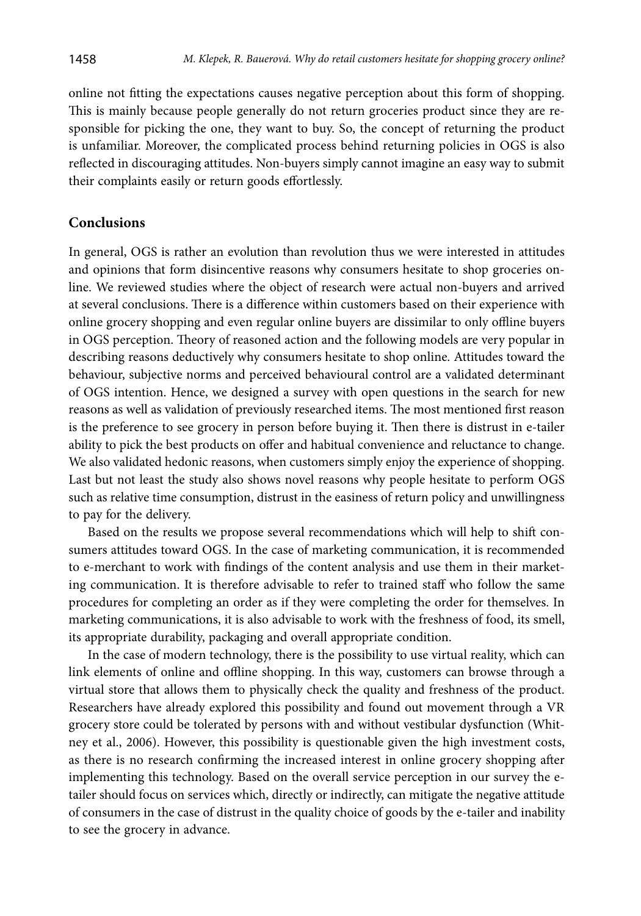online not fitting the expectations causes negative perception about this form of shopping. This is mainly because people generally do not return groceries product since they are responsible for picking the one, they want to buy. So, the concept of returning the product is unfamiliar. Moreover, the complicated process behind returning policies in OGS is also reflected in discouraging attitudes. Non-buyers simply cannot imagine an easy way to submit their complaints easily or return goods effortlessly.

### **Conclusions**

In general, OGS is rather an evolution than revolution thus we were interested in attitudes and opinions that form disincentive reasons why consumers hesitate to shop groceries online. We reviewed studies where the object of research were actual non-buyers and arrived at several conclusions. There is a difference within customers based on their experience with online grocery shopping and even regular online buyers are dissimilar to only offline buyers in OGS perception. Theory of reasoned action and the following models are very popular in describing reasons deductively why consumers hesitate to shop online. Attitudes toward the behaviour, subjective norms and perceived behavioural control are a validated determinant of OGS intention. Hence, we designed a survey with open questions in the search for new reasons as well as validation of previously researched items. The most mentioned first reason is the preference to see grocery in person before buying it. Then there is distrust in e-tailer ability to pick the best products on offer and habitual convenience and reluctance to change. We also validated hedonic reasons, when customers simply enjoy the experience of shopping. Last but not least the study also shows novel reasons why people hesitate to perform OGS such as relative time consumption, distrust in the easiness of return policy and unwillingness to pay for the delivery.

Based on the results we propose several recommendations which will help to shift consumers attitudes toward OGS. In the case of marketing communication, it is recommended to e-merchant to work with findings of the content analysis and use them in their marketing communication. It is therefore advisable to refer to trained staff who follow the same procedures for completing an order as if they were completing the order for themselves. In marketing communications, it is also advisable to work with the freshness of food, its smell, its appropriate durability, packaging and overall appropriate condition.

In the case of modern technology, there is the possibility to use virtual reality, which can link elements of online and offline shopping. In this way, customers can browse through a virtual store that allows them to physically check the quality and freshness of the product. Researchers have already explored this possibility and found out movement through a VR grocery store could be tolerated by persons with and without vestibular dysfunction (Whitney et al., 2006). However, this possibility is questionable given the high investment costs, as there is no research confirming the increased interest in online grocery shopping after implementing this technology. Based on the overall service perception in our survey the etailer should focus on services which, directly or indirectly, can mitigate the negative attitude of consumers in the case of distrust in the quality choice of goods by the e-tailer and inability to see the grocery in advance.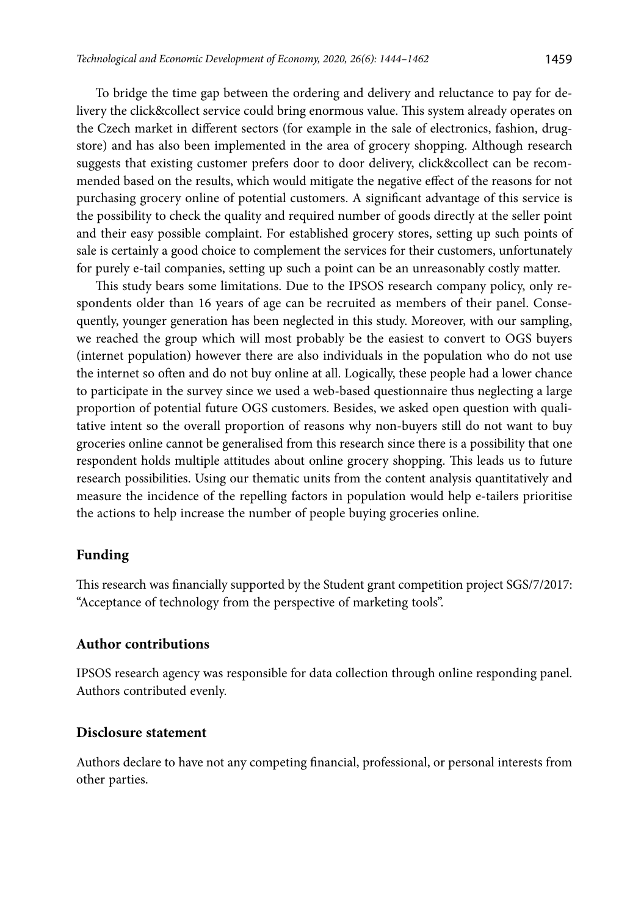To bridge the time gap between the ordering and delivery and reluctance to pay for delivery the click&collect service could bring enormous value. This system already operates on the Czech market in different sectors (for example in the sale of electronics, fashion, drugstore) and has also been implemented in the area of grocery shopping. Although research suggests that existing customer prefers door to door delivery, click&collect can be recommended based on the results, which would mitigate the negative effect of the reasons for not purchasing grocery online of potential customers. A significant advantage of this service is the possibility to check the quality and required number of goods directly at the seller point and their easy possible complaint. For established grocery stores, setting up such points of sale is certainly a good choice to complement the services for their customers, unfortunately for purely e-tail companies, setting up such a point can be an unreasonably costly matter.

This study bears some limitations. Due to the IPSOS research company policy, only respondents older than 16 years of age can be recruited as members of their panel. Consequently, younger generation has been neglected in this study. Moreover, with our sampling, we reached the group which will most probably be the easiest to convert to OGS buyers (internet population) however there are also individuals in the population who do not use the internet so often and do not buy online at all. Logically, these people had a lower chance to participate in the survey since we used a web-based questionnaire thus neglecting a large proportion of potential future OGS customers. Besides, we asked open question with qualitative intent so the overall proportion of reasons why non-buyers still do not want to buy groceries online cannot be generalised from this research since there is a possibility that one respondent holds multiple attitudes about online grocery shopping. This leads us to future research possibilities. Using our thematic units from the content analysis quantitatively and measure the incidence of the repelling factors in population would help e-tailers prioritise the actions to help increase the number of people buying groceries online.

### **Funding**

This research was financially supported by the Student grant competition project SGS/7/2017: "Acceptance of technology from the perspective of marketing tools".

### **Author contributions**

IPSOS research agency was responsible for data collection through online responding panel. Authors contributed evenly.

### **Disclosure statement**

Authors declare to have not any competing financial, professional, or personal interests from other parties.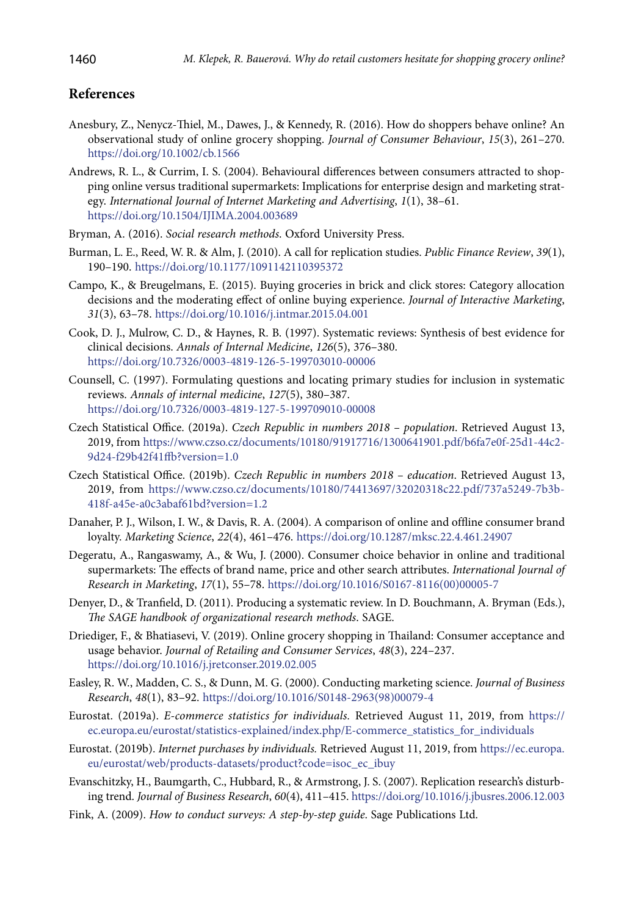# **References**

- Anesbury, Z., Nenycz-Thiel, M., Dawes, J., & Kennedy, R. (2016). How do shoppers behave online? An observational study of online grocery shopping. *Journal of Consumer Behaviour*, *15*(3), 261–270. https://doi.org/10.1002/cb.1566
- Andrews, R. L., & Currim, I. S. (2004). Behavioural differences between consumers attracted to shopping online versus traditional supermarkets: Implications for enterprise design and marketing strategy. *International Journal of Internet Marketing and Advertising*, *1*(1), 38–61. <https://doi.org/10.1504/IJIMA.2004.003689>
- Bryman, A. (2016). *Social research methods*. Oxford University Press.
- Burman, L. E., Reed, W. R. & Alm, J. (2010). A call for replication studies. *Public Finance Review*, *39*(1), 190–190. <https://doi.org/10.1177/1091142110395372>
- Campo, K., & Breugelmans, E. (2015). Buying groceries in brick and click stores: Category allocation decisions and the moderating effect of online buying experience. *Journal of Interactive Marketing*, *31*(3), 63–78. <https://doi.org/10.1016/j.intmar.2015.04.001>
- Cook, D. J., Mulrow, C. D., & Haynes, R. B. (1997). Systematic reviews: Synthesis of best evidence for clinical decisions. *Annals of Internal Medicine*, *126*(5), 376–380. <https://doi.org/10.7326/0003-4819-126-5-199703010-00006>
- Counsell, C. (1997). Formulating questions and locating primary studies for inclusion in systematic reviews. *Annals of internal medicine*, *127*(5), 380–387. <https://doi.org/10.7326/0003-4819-127-5-199709010-00008>
- Czech Statistical Office. (2019a). *Czech Republic in numbers 2018 population*. Retrieved August 13, 2019, from [https://www.czso.cz/documents/10180/91917716/1300641901.pdf/b6fa7e0f-25d1-44c2-](https://www.czso.cz/documents/10180/91917716/1300641901.pdf/b6fa7e0f-25d1-44c2-9d24-f29b42f41ffb?version=1.0) [9d24-f29b42f41ffb?version=1.0](https://www.czso.cz/documents/10180/91917716/1300641901.pdf/b6fa7e0f-25d1-44c2-9d24-f29b42f41ffb?version=1.0)
- Czech Statistical Office. (2019b). *Czech Republic in numbers 2018 education*. Retrieved August 13, 2019, from https://www.czso.cz/documents/10180/74413697/32020318c22.pdf/737a5249-7b3b-418f-a45e-a0c3abaf61bd?version=1.2
- Danaher, P. J., Wilson, I. W., & Davis, R. A. (2004). A comparison of online and offline consumer brand loyalty. *Marketing Science*, *22*(4), 461–476. <https://doi.org/10.1287/mksc.22.4.461.24907>
- Degeratu, A., Rangaswamy, A., & Wu, J. (2000). Consumer choice behavior in online and traditional supermarkets: The effects of brand name, price and other search attributes. *International Journal of Research in Marketing*, *17*(1), 55–78. [https://doi.org/10.1016/S0167-8116\(00\)00005-7](https://doi.org/10.1016/S0167-8116(00)00005-7)
- Denyer, D., & Tranfield, D. (2011). Producing a systematic review. In D. Bouchmann, A. Bryman (Eds.), *The SAGE handbook of organizational research methods*. SAGE.
- Driediger, F., & Bhatiasevi, V. (2019). Online grocery shopping in Thailand: Consumer acceptance and usage behavior. *Journal of Retailing and Consumer Services*, *48*(3), 224–237. <https://doi.org/10.1016/j.jretconser.2019.02.005>
- Easley, R. W., Madden, C. S., & Dunn, M. G. (2000). Conducting marketing science. *Journal of Business Research*, *48*(1), 83–92. [https://doi.org/10.1016/S0148-2963\(98\)00079-4](https://doi.org/10.1016/S0148-2963(98)00079-4)
- Eurostat. (2019a). *E-commerce statistics for individuals.* Retrieved August 11, 2019, from [https://](https://ec.europa.eu/eurostat/statistics-explained/index.php/E-commerce_statistics_for_individuals) [ec.europa.eu/eurostat/statistics-explained/index.php/E-commerce\\_statistics\\_for\\_individuals](https://ec.europa.eu/eurostat/statistics-explained/index.php/E-commerce_statistics_for_individuals)
- Eurostat. (2019b). *Internet purchases by individuals.* Retrieved August 11, 2019, from [https://ec.europa.](https://ec.europa.eu/eurostat/web/products-datasets/product?code=isoc_ec_ibuy) [eu/eurostat/web/products-datasets/product?code=isoc\\_ec\\_ibuy](https://ec.europa.eu/eurostat/web/products-datasets/product?code=isoc_ec_ibuy)
- Evanschitzky, H., Baumgarth, C., Hubbard, R., & Armstrong, J. S. (2007). Replication research's disturbing trend. *Journal of Business Research*, *60*(4), 411–415.<https://doi.org/10.1016/j.jbusres.2006.12.003>
- Fink, A. (2009). *How to conduct surveys: A step-by-step guide*. Sage Publications Ltd.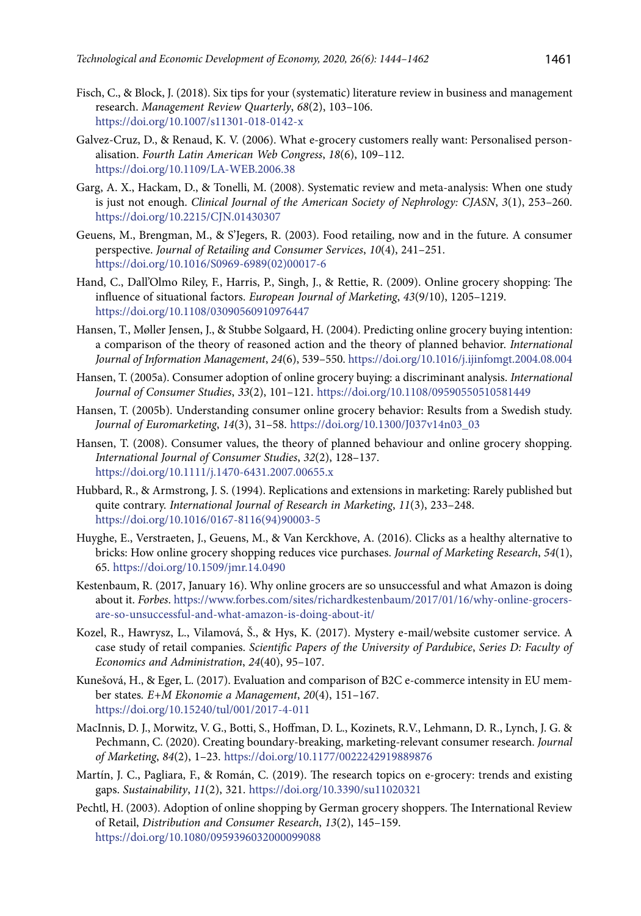- Fisch, C., & Block, J. (2018). Six tips for your (systematic) literature review in business and management research. *Management Review Quarterly*, *68*(2), 103–106. <https://doi.org/10.1007/s11301-018-0142-x>
- Galvez-Cruz, D., & Renaud, K. V. (2006). What e-grocery customers really want: Personalised personalisation. *Fourth Latin American Web Congress*, *18*(6), 109–112. <https://doi.org/10.1109/LA-WEB.2006.38>
- Garg, A. X., Hackam, D., & Tonelli, M. (2008). Systematic review and meta-analysis: When one study is just not enough. *Clinical Journal of the American Society of Nephrology: CJASN*, *3*(1), 253–260. <https://doi.org/10.2215/CJN.01430307>
- Geuens, M., Brengman, M., & S'Jegers, R. (2003). Food retailing, now and in the future. A consumer perspective. *Journal of Retailing and Consumer Services*, *10*(4), 241–251. [https://doi.org/10.1016/S0969-6989\(02\)00017-6](https://doi.org/10.1016/S0969-6989(02)00017-6)
- Hand, C., Dall'Olmo Riley, F., Harris, P., Singh, J., & Rettie, R. (2009). Online grocery shopping: The influence of situational factors. *European Journal of Marketing*, *43*(9/10), 1205–1219. <https://doi.org/10.1108/03090560910976447>
- Hansen, T., Møller Jensen, J., & Stubbe Solgaard, H. (2004). Predicting online grocery buying intention: a comparison of the theory of reasoned action and the theory of planned behavior. *International Journal of Information Management*, *24*(6), 539–550. https://doi.org/10.1016/j.ijinfomgt.2004.08.004
- Hansen, T. (2005a). Consumer adoption of online grocery buying: a discriminant analysis. *International Journal of Consumer Studies*, *33*(2), 101–121.<https://doi.org/10.1108/09590550510581449>
- Hansen, T. (2005b). Understanding consumer online grocery behavior: Results from a Swedish study. *Journal of Euromarketing*, *14*(3), 31–58. [https://doi.org/10.1300/J037v14n03\\_03](https://doi.org/10.1300/J037v14n03_03)
- Hansen, T. (2008). Consumer values, the theory of planned behaviour and online grocery shopping. *International Journal of Consumer Studies*, *32*(2), 128–137. https://doi.org/10.1111/j.1470-6431.2007.00655.x
- Hubbard, R., & Armstrong, J. S. (1994). Replications and extensions in marketing: Rarely published but quite contrary. *International Journal of Research in Marketing*, *11*(3), 233–248. [https://doi.org/10.1016/0167-8116\(94\)90003-5](https://doi.org/10.1016/0167-8116(94)90003-5)
- Huyghe, E., Verstraeten, J., Geuens, M., & Van Kerckhove, A. (2016). Clicks as a healthy alternative to bricks: How online grocery shopping reduces vice purchases. *Journal of Marketing Research*, *54*(1), 65. <https://doi.org/10.1509/jmr.14.0490>
- Kestenbaum, R. (2017, January 16). Why online grocers are so unsuccessful and what Amazon is doing about it. *Forbes*. [https://www.forbes.com/sites/richardkestenbaum/2017/01/16/why-online-grocers](https://www.forbes.com/sites/richardkestenbaum/2017/01/16/why-online-grocers-are-so-unsuccessful-and-what-amazon-is-doing-about-it/)[are-so-unsuccessful-and-what-amazon-is-doing-about-it/](https://www.forbes.com/sites/richardkestenbaum/2017/01/16/why-online-grocers-are-so-unsuccessful-and-what-amazon-is-doing-about-it/)
- Kozel, R., Hawrysz, L., Vilamová, Š., & Hys, K. (2017). Mystery e-mail/website customer service. A case study of retail companies. *Scientific Papers of the University of Pardubice*, *Series D: Faculty of Economics and Administration*, *24*(40), 95–107.
- Kunešová, H., & Eger, L. (2017). Evaluation and comparison of B2C e-commerce intensity in EU member states*. E+M Ekonomie a Management*, *20*(4), 151–167. <https://doi.org/10.15240/tul/001/2017-4-011>
- MacInnis, D. J., Morwitz, V. G., Botti, S., Hoffman, D. L., Kozinets, R.V., Lehmann, D. R., Lynch, J. G. & Pechmann, C. (2020). Creating boundary-breaking, marketing-relevant consumer research. *Journal of Marketing*, *84*(2), 1–23.<https://doi.org/10.1177/0022242919889876>
- Martín, J. C., Pagliara, F., & Román, C. (2019). The research topics on e-grocery: trends and existing gaps. *Sustainability*, *11*(2), 321. <https://doi.org/10.3390/su11020321>
- Pechtl, H. (2003). Adoption of online shopping by German grocery shoppers. The International Review of Retail, *Distribution and Consumer Research*, *13*(2), 145–159. <https://doi.org/10.1080/0959396032000099088>